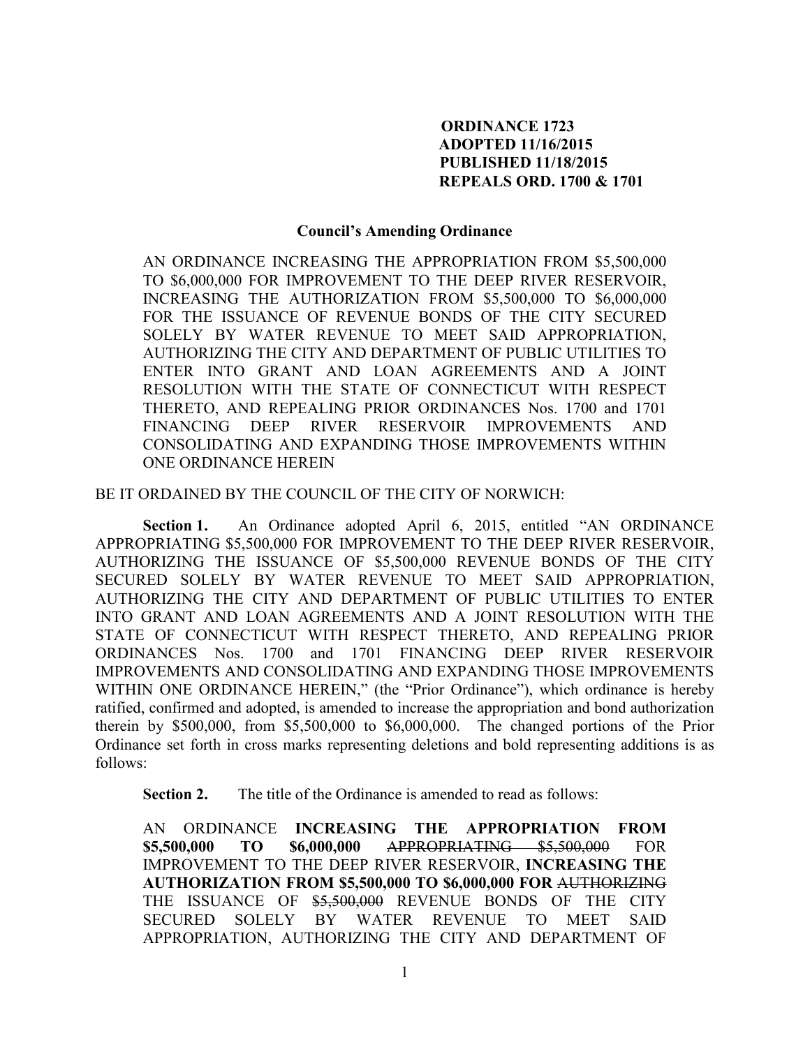## **ORDINANCE 1723 ADOPTED 11/16/2015 PUBLISHED 11/18/2015 REPEALS ORD. 1700 & 1701**

## **Council's Amending Ordinance**

AN ORDINANCE INCREASING THE APPROPRIATION FROM \$5,500,000 TO \$6,000,000 FOR IMPROVEMENT TO THE DEEP RIVER RESERVOIR, INCREASING THE AUTHORIZATION FROM \$5,500,000 TO \$6,000,000 FOR THE ISSUANCE OF REVENUE BONDS OF THE CITY SECURED SOLELY BY WATER REVENUE TO MEET SAID APPROPRIATION, AUTHORIZING THE CITY AND DEPARTMENT OF PUBLIC UTILITIES TO ENTER INTO GRANT AND LOAN AGREEMENTS AND A JOINT RESOLUTION WITH THE STATE OF CONNECTICUT WITH RESPECT THERETO, AND REPEALING PRIOR ORDINANCES Nos. 1700 and 1701 FINANCING DEEP RIVER RESERVOIR IMPROVEMENTS AND CONSOLIDATING AND EXPANDING THOSE IMPROVEMENTS WITHIN ONE ORDINANCE HEREIN

BE IT ORDAINED BY THE COUNCIL OF THE CITY OF NORWICH:

 **Section 1.** An Ordinance adopted April 6, 2015, entitled "AN ORDINANCE APPROPRIATING \$5,500,000 FOR IMPROVEMENT TO THE DEEP RIVER RESERVOIR, AUTHORIZING THE ISSUANCE OF \$5,500,000 REVENUE BONDS OF THE CITY SECURED SOLELY BY WATER REVENUE TO MEET SAID APPROPRIATION, AUTHORIZING THE CITY AND DEPARTMENT OF PUBLIC UTILITIES TO ENTER INTO GRANT AND LOAN AGREEMENTS AND A JOINT RESOLUTION WITH THE STATE OF CONNECTICUT WITH RESPECT THERETO, AND REPEALING PRIOR ORDINANCES Nos. 1700 and 1701 FINANCING DEEP RIVER RESERVOIR IMPROVEMENTS AND CONSOLIDATING AND EXPANDING THOSE IMPROVEMENTS WITHIN ONE ORDINANCE HEREIN," (the "Prior Ordinance"), which ordinance is hereby ratified, confirmed and adopted, is amended to increase the appropriation and bond authorization therein by \$500,000, from \$5,500,000 to \$6,000,000. The changed portions of the Prior Ordinance set forth in cross marks representing deletions and bold representing additions is as follows:

 **Section 2.** The title of the Ordinance is amended to read as follows:

AN ORDINANCE **INCREASING THE APPROPRIATION FROM \$5,500,000 TO \$6,000,000** APPROPRIATING \$5,500,000 FOR IMPROVEMENT TO THE DEEP RIVER RESERVOIR, **INCREASING THE AUTHORIZATION FROM \$5,500,000 TO \$6,000,000 FOR** AUTHORIZING THE ISSUANCE OF \$5,500,000 REVENUE BONDS OF THE CITY SECURED SOLELY BY WATER REVENUE TO MEET SAID APPROPRIATION, AUTHORIZING THE CITY AND DEPARTMENT OF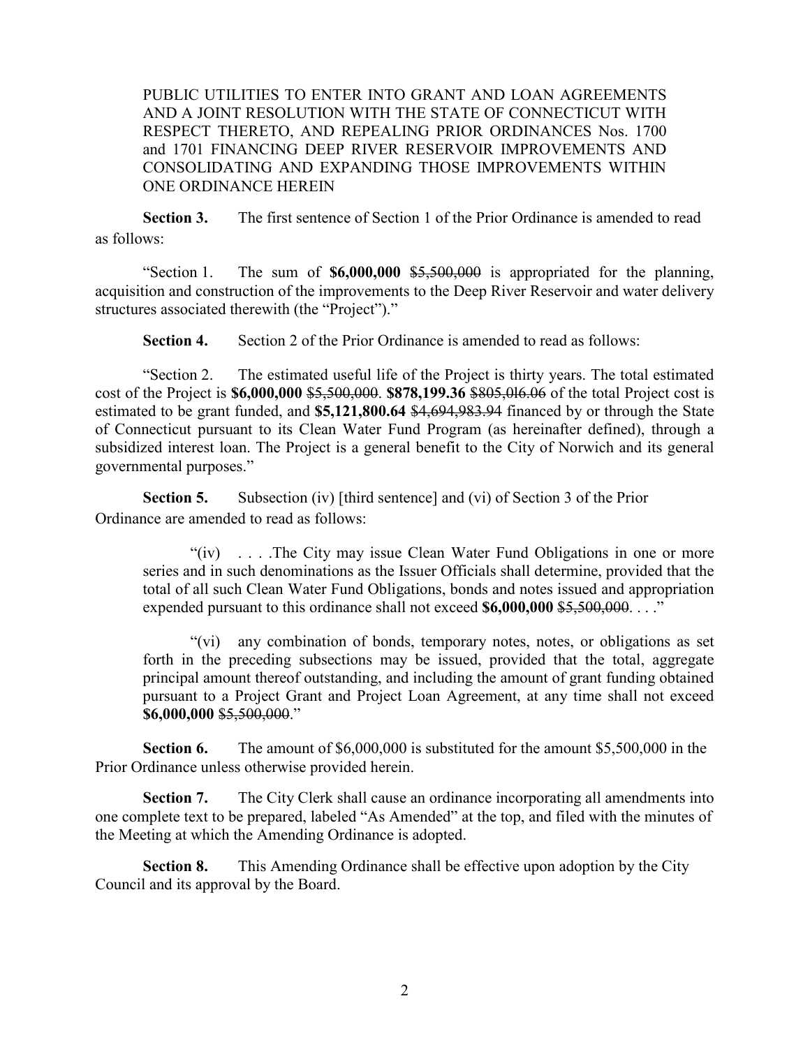PUBLIC UTILITIES TO ENTER INTO GRANT AND LOAN AGREEMENTS AND A JOINT RESOLUTION WITH THE STATE OF CONNECTICUT WITH RESPECT THERETO, AND REPEALING PRIOR ORDINANCES Nos. 1700 and 1701 FINANCING DEEP RIVER RESERVOIR IMPROVEMENTS AND CONSOLIDATING AND EXPANDING THOSE IMPROVEMENTS WITHIN ONE ORDINANCE HEREIN

 **Section 3.** The first sentence of Section 1 of the Prior Ordinance is amended to read as follows:

"Section 1. The sum of **\$6,000,000** \$5,500,000 is appropriated for the planning, acquisition and construction of the improvements to the Deep River Reservoir and water delivery structures associated therewith (the "Project")."

**Section 4.** Section 2 of the Prior Ordinance is amended to read as follows:

"Section 2. The estimated useful life of the Project is thirty years. The total estimated cost of the Project is **\$6,000,000** \$5,500,000. **\$878,199.36** \$805,0l6.06 of the total Project cost is estimated to be grant funded, and **\$5,121,800.64** \$4,694,983.94 financed by or through the State of Connecticut pursuant to its Clean Water Fund Program (as hereinafter defined), through a subsidized interest loan. The Project is a general benefit to the City of Norwich and its general governmental purposes."

 **Section 5.** Subsection (iv) [third sentence] and (vi) of Section 3 of the Prior Ordinance are amended to read as follows:

"(iv) . . . .The City may issue Clean Water Fund Obligations in one or more series and in such denominations as the Issuer Officials shall determine, provided that the total of all such Clean Water Fund Obligations, bonds and notes issued and appropriation expended pursuant to this ordinance shall not exceed **\$6,000,000** \$5,500,000. . . ."

"(vi) any combination of bonds, temporary notes, notes, or obligations as set forth in the preceding subsections may be issued, provided that the total, aggregate principal amount thereof outstanding, and including the amount of grant funding obtained pursuant to a Project Grant and Project Loan Agreement, at any time shall not exceed **\$6,000,000** \$5,500,000."

**Section 6.** The amount of \$6,000,000 is substituted for the amount \$5,500,000 in the Prior Ordinance unless otherwise provided herein.

**Section 7.** The City Clerk shall cause an ordinance incorporating all amendments into one complete text to be prepared, labeled "As Amended" at the top, and filed with the minutes of the Meeting at which the Amending Ordinance is adopted.

 **Section 8.** This Amending Ordinance shall be effective upon adoption by the City Council and its approval by the Board.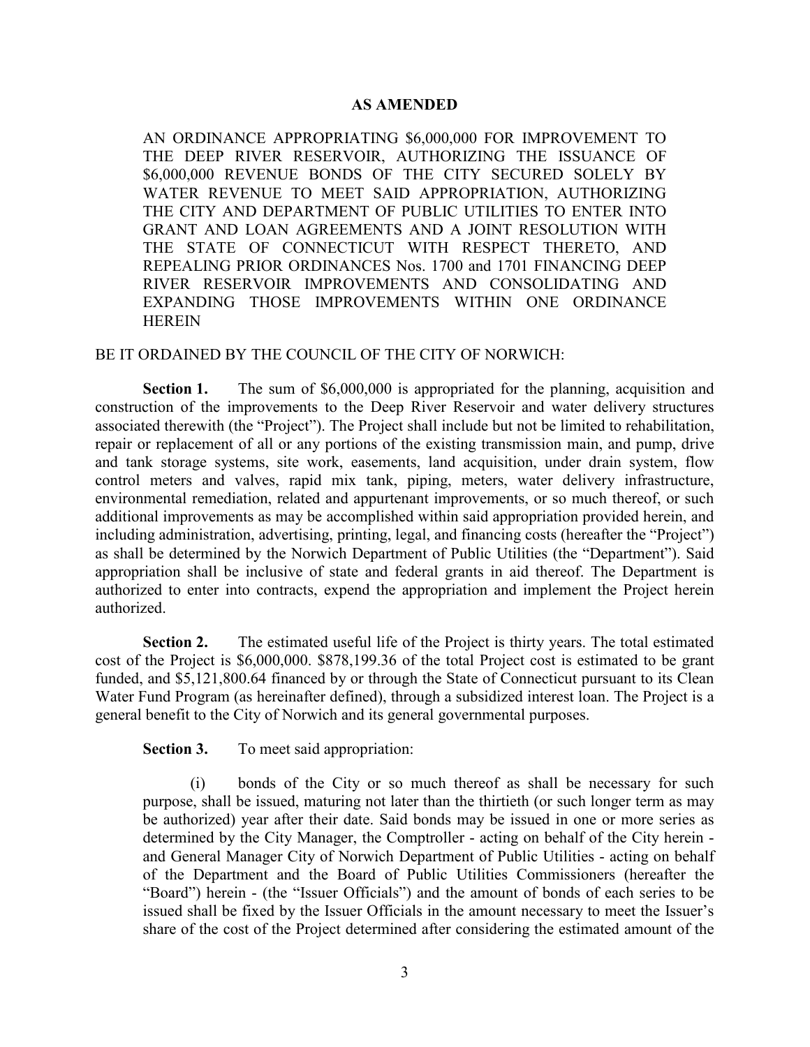## **AS AMENDED**

AN ORDINANCE APPROPRIATING \$6,000,000 FOR IMPROVEMENT TO THE DEEP RIVER RESERVOIR, AUTHORIZING THE ISSUANCE OF \$6,000,000 REVENUE BONDS OF THE CITY SECURED SOLELY BY WATER REVENUE TO MEET SAID APPROPRIATION, AUTHORIZING THE CITY AND DEPARTMENT OF PUBLIC UTILITIES TO ENTER INTO GRANT AND LOAN AGREEMENTS AND A JOINT RESOLUTION WITH THE STATE OF CONNECTICUT WITH RESPECT THERETO, AND REPEALING PRIOR ORDINANCES Nos. 1700 and 1701 FINANCING DEEP RIVER RESERVOIR IMPROVEMENTS AND CONSOLIDATING AND EXPANDING THOSE IMPROVEMENTS WITHIN ONE ORDINANCE HEREIN

## BE IT ORDAINED BY THE COUNCIL OF THE CITY OF NORWICH:

**Section 1.** The sum of \$6,000,000 is appropriated for the planning, acquisition and construction of the improvements to the Deep River Reservoir and water delivery structures associated therewith (the "Project"). The Project shall include but not be limited to rehabilitation, repair or replacement of all or any portions of the existing transmission main, and pump, drive and tank storage systems, site work, easements, land acquisition, under drain system, flow control meters and valves, rapid mix tank, piping, meters, water delivery infrastructure, environmental remediation, related and appurtenant improvements, or so much thereof, or such additional improvements as may be accomplished within said appropriation provided herein, and including administration, advertising, printing, legal, and financing costs (hereafter the "Project") as shall be determined by the Norwich Department of Public Utilities (the "Department"). Said appropriation shall be inclusive of state and federal grants in aid thereof. The Department is authorized to enter into contracts, expend the appropriation and implement the Project herein authorized.

**Section 2.** The estimated useful life of the Project is thirty years. The total estimated cost of the Project is \$6,000,000. \$878,199.36 of the total Project cost is estimated to be grant funded, and \$5,121,800.64 financed by or through the State of Connecticut pursuant to its Clean Water Fund Program (as hereinafter defined), through a subsidized interest loan. The Project is a general benefit to the City of Norwich and its general governmental purposes.

**Section 3.** To meet said appropriation:

(i) bonds of the City or so much thereof as shall be necessary for such purpose, shall be issued, maturing not later than the thirtieth (or such longer term as may be authorized) year after their date. Said bonds may be issued in one or more series as determined by the City Manager, the Comptroller - acting on behalf of the City herein and General Manager City of Norwich Department of Public Utilities - acting on behalf of the Department and the Board of Public Utilities Commissioners (hereafter the "Board") herein - (the "Issuer Officials") and the amount of bonds of each series to be issued shall be fixed by the Issuer Officials in the amount necessary to meet the Issuer's share of the cost of the Project determined after considering the estimated amount of the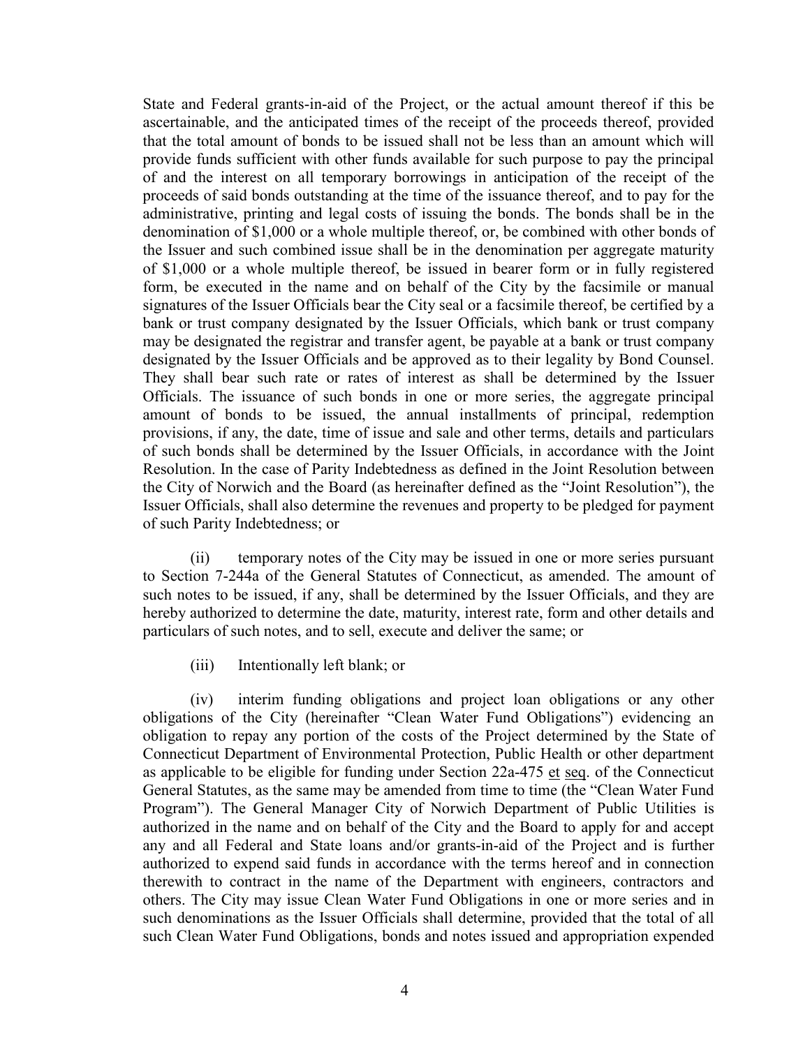State and Federal grants-in-aid of the Project, or the actual amount thereof if this be ascertainable, and the anticipated times of the receipt of the proceeds thereof, provided that the total amount of bonds to be issued shall not be less than an amount which will provide funds sufficient with other funds available for such purpose to pay the principal of and the interest on all temporary borrowings in anticipation of the receipt of the proceeds of said bonds outstanding at the time of the issuance thereof, and to pay for the administrative, printing and legal costs of issuing the bonds. The bonds shall be in the denomination of \$1,000 or a whole multiple thereof, or, be combined with other bonds of the Issuer and such combined issue shall be in the denomination per aggregate maturity of \$1,000 or a whole multiple thereof, be issued in bearer form or in fully registered form, be executed in the name and on behalf of the City by the facsimile or manual signatures of the Issuer Officials bear the City seal or a facsimile thereof, be certified by a bank or trust company designated by the Issuer Officials, which bank or trust company may be designated the registrar and transfer agent, be payable at a bank or trust company designated by the Issuer Officials and be approved as to their legality by Bond Counsel. They shall bear such rate or rates of interest as shall be determined by the Issuer Officials. The issuance of such bonds in one or more series, the aggregate principal amount of bonds to be issued, the annual installments of principal, redemption provisions, if any, the date, time of issue and sale and other terms, details and particulars of such bonds shall be determined by the Issuer Officials, in accordance with the Joint Resolution. In the case of Parity Indebtedness as defined in the Joint Resolution between the City of Norwich and the Board (as hereinafter defined as the "Joint Resolution"), the Issuer Officials, shall also determine the revenues and property to be pledged for payment of such Parity Indebtedness; or

(ii) temporary notes of the City may be issued in one or more series pursuant to Section 7-244a of the General Statutes of Connecticut, as amended. The amount of such notes to be issued, if any, shall be determined by the Issuer Officials, and they are hereby authorized to determine the date, maturity, interest rate, form and other details and particulars of such notes, and to sell, execute and deliver the same; or

(iii) Intentionally left blank; or

(iv) interim funding obligations and project loan obligations or any other obligations of the City (hereinafter "Clean Water Fund Obligations") evidencing an obligation to repay any portion of the costs of the Project determined by the State of Connecticut Department of Environmental Protection, Public Health or other department as applicable to be eligible for funding under Section 22a-475 et seq. of the Connecticut General Statutes, as the same may be amended from time to time (the "Clean Water Fund Program"). The General Manager City of Norwich Department of Public Utilities is authorized in the name and on behalf of the City and the Board to apply for and accept any and all Federal and State loans and/or grants-in-aid of the Project and is further authorized to expend said funds in accordance with the terms hereof and in connection therewith to contract in the name of the Department with engineers, contractors and others. The City may issue Clean Water Fund Obligations in one or more series and in such denominations as the Issuer Officials shall determine, provided that the total of all such Clean Water Fund Obligations, bonds and notes issued and appropriation expended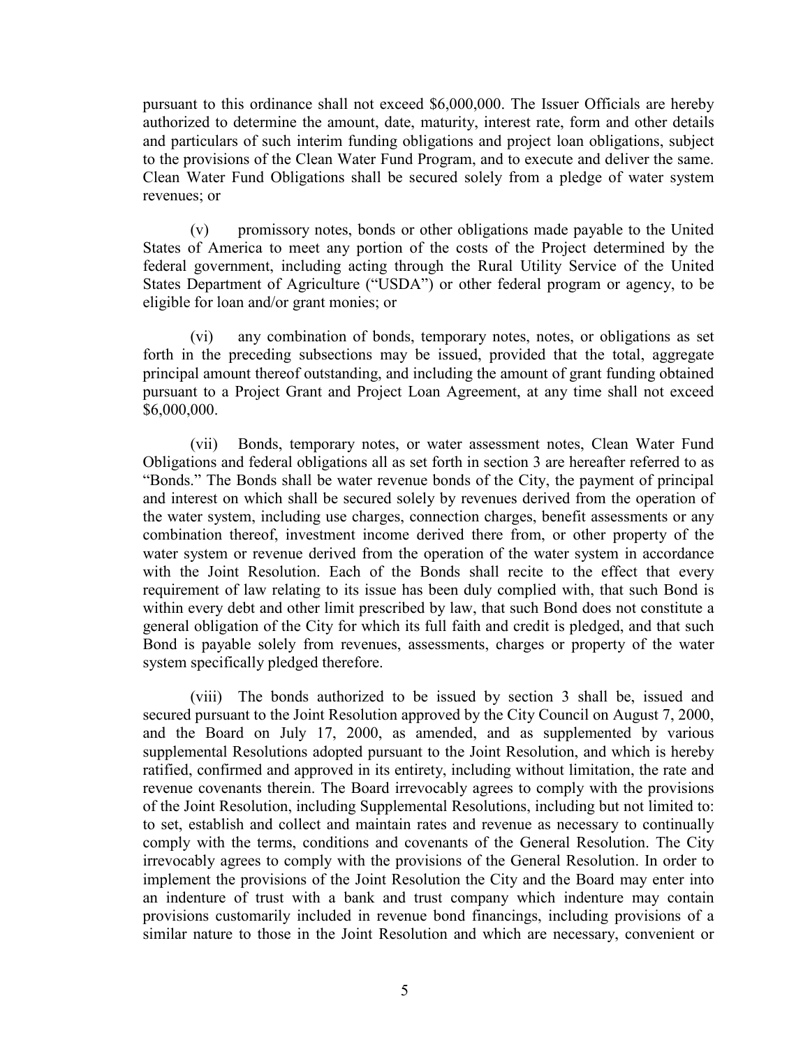pursuant to this ordinance shall not exceed \$6,000,000. The Issuer Officials are hereby authorized to determine the amount, date, maturity, interest rate, form and other details and particulars of such interim funding obligations and project loan obligations, subject to the provisions of the Clean Water Fund Program, and to execute and deliver the same. Clean Water Fund Obligations shall be secured solely from a pledge of water system revenues; or

(v) promissory notes, bonds or other obligations made payable to the United States of America to meet any portion of the costs of the Project determined by the federal government, including acting through the Rural Utility Service of the United States Department of Agriculture ("USDA") or other federal program or agency, to be eligible for loan and/or grant monies; or

(vi) any combination of bonds, temporary notes, notes, or obligations as set forth in the preceding subsections may be issued, provided that the total, aggregate principal amount thereof outstanding, and including the amount of grant funding obtained pursuant to a Project Grant and Project Loan Agreement, at any time shall not exceed \$6,000,000.

(vii) Bonds, temporary notes, or water assessment notes, Clean Water Fund Obligations and federal obligations all as set forth in section 3 are hereafter referred to as "Bonds." The Bonds shall be water revenue bonds of the City, the payment of principal and interest on which shall be secured solely by revenues derived from the operation of the water system, including use charges, connection charges, benefit assessments or any combination thereof, investment income derived there from, or other property of the water system or revenue derived from the operation of the water system in accordance with the Joint Resolution. Each of the Bonds shall recite to the effect that every requirement of law relating to its issue has been duly complied with, that such Bond is within every debt and other limit prescribed by law, that such Bond does not constitute a general obligation of the City for which its full faith and credit is pledged, and that such Bond is payable solely from revenues, assessments, charges or property of the water system specifically pledged therefore.

(viii) The bonds authorized to be issued by section 3 shall be, issued and secured pursuant to the Joint Resolution approved by the City Council on August 7, 2000, and the Board on July 17, 2000, as amended, and as supplemented by various supplemental Resolutions adopted pursuant to the Joint Resolution, and which is hereby ratified, confirmed and approved in its entirety, including without limitation, the rate and revenue covenants therein. The Board irrevocably agrees to comply with the provisions of the Joint Resolution, including Supplemental Resolutions, including but not limited to: to set, establish and collect and maintain rates and revenue as necessary to continually comply with the terms, conditions and covenants of the General Resolution. The City irrevocably agrees to comply with the provisions of the General Resolution. In order to implement the provisions of the Joint Resolution the City and the Board may enter into an indenture of trust with a bank and trust company which indenture may contain provisions customarily included in revenue bond financings, including provisions of a similar nature to those in the Joint Resolution and which are necessary, convenient or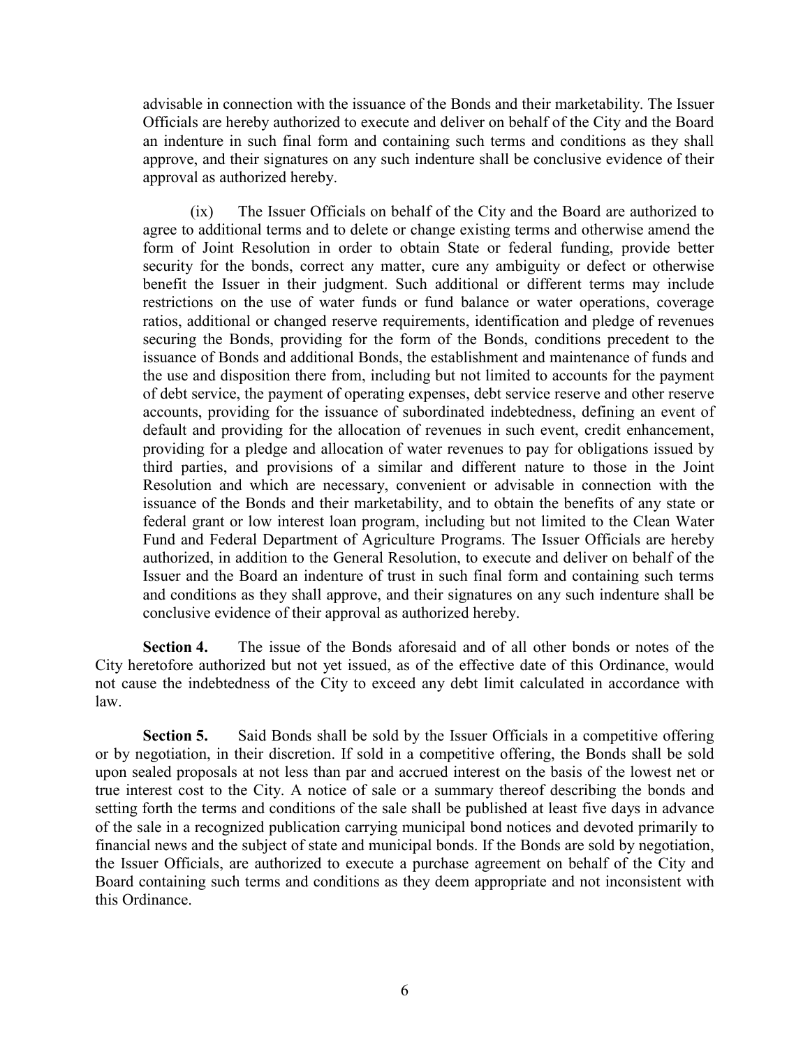advisable in connection with the issuance of the Bonds and their marketability. The Issuer Officials are hereby authorized to execute and deliver on behalf of the City and the Board an indenture in such final form and containing such terms and conditions as they shall approve, and their signatures on any such indenture shall be conclusive evidence of their approval as authorized hereby.

(ix) The Issuer Officials on behalf of the City and the Board are authorized to agree to additional terms and to delete or change existing terms and otherwise amend the form of Joint Resolution in order to obtain State or federal funding, provide better security for the bonds, correct any matter, cure any ambiguity or defect or otherwise benefit the Issuer in their judgment. Such additional or different terms may include restrictions on the use of water funds or fund balance or water operations, coverage ratios, additional or changed reserve requirements, identification and pledge of revenues securing the Bonds, providing for the form of the Bonds, conditions precedent to the issuance of Bonds and additional Bonds, the establishment and maintenance of funds and the use and disposition there from, including but not limited to accounts for the payment of debt service, the payment of operating expenses, debt service reserve and other reserve accounts, providing for the issuance of subordinated indebtedness, defining an event of default and providing for the allocation of revenues in such event, credit enhancement, providing for a pledge and allocation of water revenues to pay for obligations issued by third parties, and provisions of a similar and different nature to those in the Joint Resolution and which are necessary, convenient or advisable in connection with the issuance of the Bonds and their marketability, and to obtain the benefits of any state or federal grant or low interest loan program, including but not limited to the Clean Water Fund and Federal Department of Agriculture Programs. The Issuer Officials are hereby authorized, in addition to the General Resolution, to execute and deliver on behalf of the Issuer and the Board an indenture of trust in such final form and containing such terms and conditions as they shall approve, and their signatures on any such indenture shall be conclusive evidence of their approval as authorized hereby.

**Section 4.** The issue of the Bonds aforesaid and of all other bonds or notes of the City heretofore authorized but not yet issued, as of the effective date of this Ordinance, would not cause the indebtedness of the City to exceed any debt limit calculated in accordance with law.

**Section 5.** Said Bonds shall be sold by the Issuer Officials in a competitive offering or by negotiation, in their discretion. If sold in a competitive offering, the Bonds shall be sold upon sealed proposals at not less than par and accrued interest on the basis of the lowest net or true interest cost to the City. A notice of sale or a summary thereof describing the bonds and setting forth the terms and conditions of the sale shall be published at least five days in advance of the sale in a recognized publication carrying municipal bond notices and devoted primarily to financial news and the subject of state and municipal bonds. If the Bonds are sold by negotiation, the Issuer Officials, are authorized to execute a purchase agreement on behalf of the City and Board containing such terms and conditions as they deem appropriate and not inconsistent with this Ordinance.